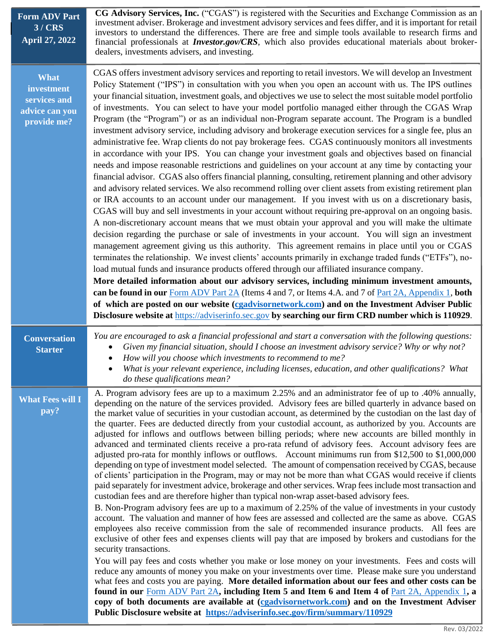| <b>Form ADV Part</b><br>3/CRS<br><b>April 27, 2022</b>                     | CG Advisory Services, Inc. ("CGAS") is registered with the Securities and Exchange Commission as an<br>investment adviser. Brokerage and investment advisory services and fees differ, and it is important for retail<br>investors to understand the differences. There are free and simple tools available to research firms and<br>financial professionals at <b>Investor.gov/CRS</b> , which also provides educational materials about broker-<br>dealers, investments advisers, and investing.                                                                                                                                                                                                                                                                                                                                                                                                                                                                                                                                                                                                                                                                                                                                                                                                                                                                                                                                                                                                                                                                                                                                                                                                                                                                                                                                                                                                                                                                                                                                                                                                                                                                                                                                                                                                                                                                              |
|----------------------------------------------------------------------------|---------------------------------------------------------------------------------------------------------------------------------------------------------------------------------------------------------------------------------------------------------------------------------------------------------------------------------------------------------------------------------------------------------------------------------------------------------------------------------------------------------------------------------------------------------------------------------------------------------------------------------------------------------------------------------------------------------------------------------------------------------------------------------------------------------------------------------------------------------------------------------------------------------------------------------------------------------------------------------------------------------------------------------------------------------------------------------------------------------------------------------------------------------------------------------------------------------------------------------------------------------------------------------------------------------------------------------------------------------------------------------------------------------------------------------------------------------------------------------------------------------------------------------------------------------------------------------------------------------------------------------------------------------------------------------------------------------------------------------------------------------------------------------------------------------------------------------------------------------------------------------------------------------------------------------------------------------------------------------------------------------------------------------------------------------------------------------------------------------------------------------------------------------------------------------------------------------------------------------------------------------------------------------------------------------------------------------------------------------------------------------|
| <b>What</b><br>investment<br>services and<br>advice can you<br>provide me? | CGAS offers investment advisory services and reporting to retail investors. We will develop an Investment<br>Policy Statement ("IPS") in consultation with you when you open an account with us. The IPS outlines<br>your financial situation, investment goals, and objectives we use to select the most suitable model portfolio<br>of investments. You can select to have your model portfolio managed either through the CGAS Wrap<br>Program (the "Program") or as an individual non-Program separate account. The Program is a bundled<br>investment advisory service, including advisory and brokerage execution services for a single fee, plus an<br>administrative fee. Wrap clients do not pay brokerage fees. CGAS continuously monitors all investments<br>in accordance with your IPS. You can change your investment goals and objectives based on financial<br>needs and impose reasonable restrictions and guidelines on your account at any time by contacting your<br>financial advisor. CGAS also offers financial planning, consulting, retirement planning and other advisory<br>and advisory related services. We also recommend rolling over client assets from existing retirement plan<br>or IRA accounts to an account under our management. If you invest with us on a discretionary basis,<br>CGAS will buy and sell investments in your account without requiring pre-approval on an ongoing basis.<br>A non-discretionary account means that we must obtain your approval and you will make the ultimate<br>decision regarding the purchase or sale of investments in your account. You will sign an investment<br>management agreement giving us this authority. This agreement remains in place until you or CGAS<br>terminates the relationship. We invest clients' accounts primarily in exchange traded funds ("ETFs"), no-<br>load mutual funds and insurance products offered through our affiliated insurance company.<br>More detailed information about our advisory services, including minimum investment amounts,<br>can be found in our Form ADV Part 2A (Items 4 and 7, or Items 4.A. and 7 of Part 2A, Appendix 1, both<br>of which are posted on our website (cgadvisornetwork.com) and on the Investment Adviser Public<br>Disclosure website at https://adviserinfo.sec.gov by searching our firm CRD number which is 110929. |
| <b>Conversation</b><br><b>Starter</b>                                      | You are encouraged to ask a financial professional and start a conversation with the following questions:<br>Given my financial situation, should I choose an investment advisory service? Why or why not?<br>How will you choose which investments to recommend to me?<br>What is your relevant experience, including licenses, education, and other qualifications? What<br>$\bullet$<br>do these qualifications mean?                                                                                                                                                                                                                                                                                                                                                                                                                                                                                                                                                                                                                                                                                                                                                                                                                                                                                                                                                                                                                                                                                                                                                                                                                                                                                                                                                                                                                                                                                                                                                                                                                                                                                                                                                                                                                                                                                                                                                        |
| <b>What Fees will I</b><br>pay?                                            | A. Program advisory fees are up to a maximum 2.25% and an administrator fee of up to .40% annually,<br>depending on the nature of the services provided. Advisory fees are billed quarterly in advance based on<br>the market value of securities in your custodian account, as determined by the custodian on the last day of<br>the quarter. Fees are deducted directly from your custodial account, as authorized by you. Accounts are<br>adjusted for inflows and outflows between billing periods; where new accounts are billed monthly in<br>advanced and terminated clients receive a pro-rata refund of advisory fees. Account advisory fees are<br>adjusted pro-rata for monthly inflows or outflows. Account minimums run from \$12,500 to \$1,000,000<br>depending on type of investment model selected. The amount of compensation received by CGAS, because<br>of clients' participation in the Program, may or may not be more than what CGAS would receive if clients<br>paid separately for investment advice, brokerage and other services. Wrap fees include most transaction and<br>custodian fees and are therefore higher than typical non-wrap asset-based advisory fees.<br>B. Non-Program advisory fees are up to a maximum of 2.25% of the value of investments in your custody<br>account. The valuation and manner of how fees are assessed and collected are the same as above. CGAS<br>employees also receive commission from the sale of recommended insurance products. All fees are<br>exclusive of other fees and expenses clients will pay that are imposed by brokers and custodians for the<br>security transactions.<br>You will pay fees and costs whether you make or lose money on your investments. Fees and costs will<br>reduce any amounts of money you make on your investments over time. Please make sure you understand<br>what fees and costs you are paying. More detailed information about our fees and other costs can be<br>found in our Form ADV Part 2A, including Item 5 and Item 6 and Item 4 of Part 2A, Appendix 1, a<br>copy of both documents are available at (cgadvisornetwork.com) and on the Investment Adviser<br>Public Disclosure website at https://adviserinfo.sec.gov/firm/summary/110929                                                                                                              |